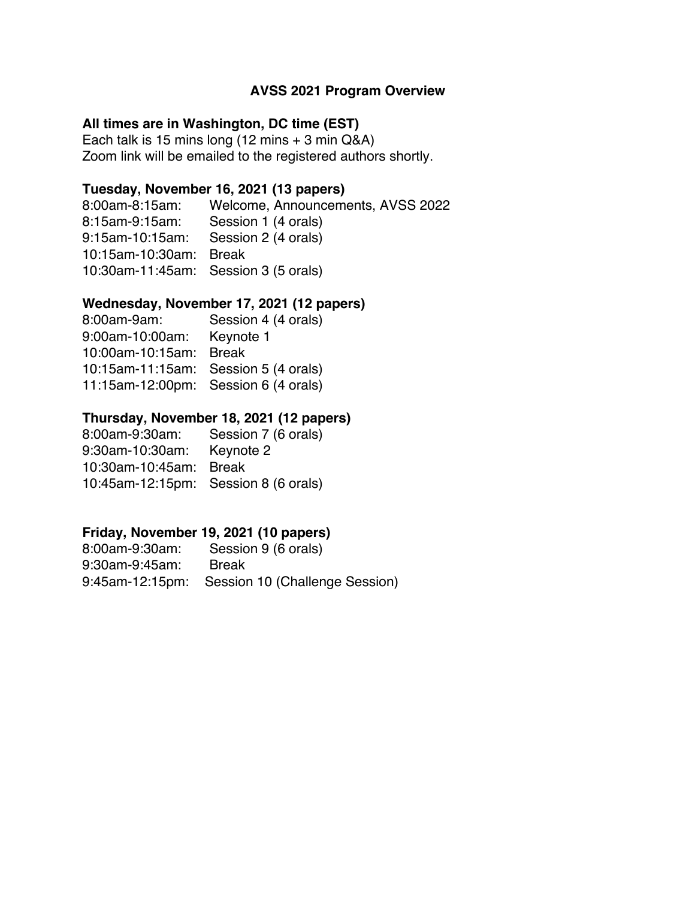#### **AVSS 2021 Program Overview**

#### **All times are in Washington, DC time (EST)**

Each talk is 15 mins long (12 mins + 3 min Q&A) Zoom link will be emailed to the registered authors shortly.

#### **Tuesday, November 16, 2021 (13 papers)**

8:00am-8:15am: Welcome, Announcements, AVSS 2022 8:15am-9:15am: Session 1 (4 orals) 9:15am-10:15am: Session 2 (4 orals) 10:15am-10:30am: Break 10:30am-11:45am: Session 3 (5 orals)

#### **Wednesday, November 17, 2021 (12 papers)**

| 8:00am-9am:                          | Session 4 (4 orals)                  |
|--------------------------------------|--------------------------------------|
| 9:00am-10:00am:                      | Keynote 1                            |
| 10:00am-10:15am:                     | <b>Break</b>                         |
| 10:15am-11:15am: Session 5 (4 orals) |                                      |
|                                      | 11:15am-12:00pm: Session 6 (4 orals) |

#### **Thursday, November 18, 2021 (12 papers)**

| 8:00am-9:30am:                       | Session 7 (6 orals) |
|--------------------------------------|---------------------|
| 9:30am-10:30am:                      | Keynote 2           |
| 10:30am-10:45am: Break               |                     |
| 10:45am-12:15pm: Session 8 (6 orals) |                     |

### **Friday, November 19, 2021 (10 papers)**

| 8:00am-9:30am: | Session 9 (6 orals)                            |
|----------------|------------------------------------------------|
| 9:30am-9:45am: | Break                                          |
|                | 9:45am-12:15pm: Session 10 (Challenge Session) |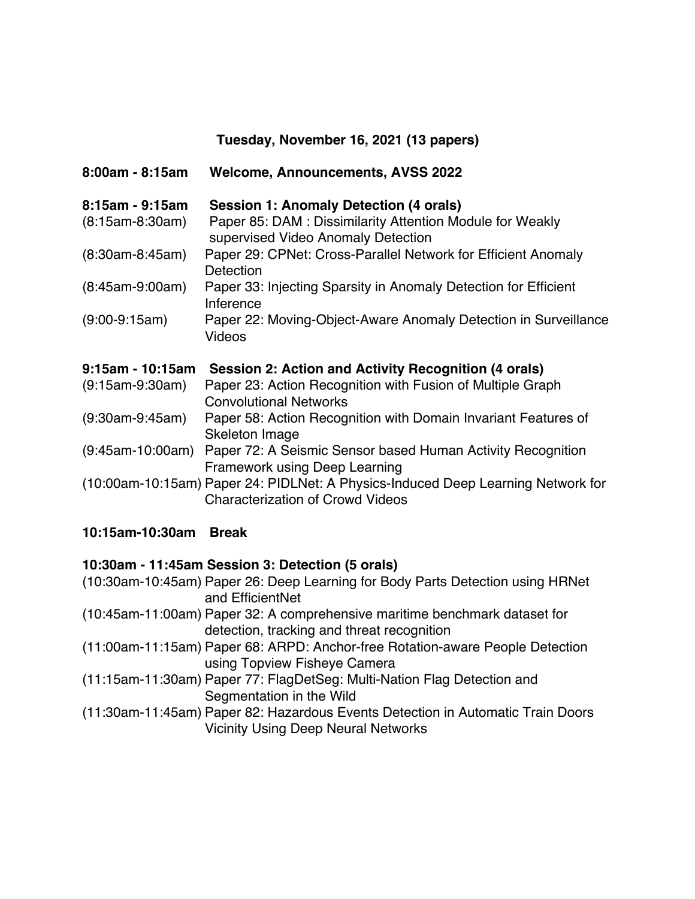# **Tuesday, November 16, 2021 (13 papers)**

| $8:00am - 8:15am$ | <b>Welcome, Announcements, AVSS 2022</b>                                                                                    |
|-------------------|-----------------------------------------------------------------------------------------------------------------------------|
| $8:15am - 9:15am$ | <b>Session 1: Anomaly Detection (4 orals)</b>                                                                               |
| $(8:15am-8:30am)$ | Paper 85: DAM: Dissimilarity Attention Module for Weakly<br>supervised Video Anomaly Detection                              |
| $(8:30am-8:45am)$ | Paper 29: CPNet: Cross-Parallel Network for Efficient Anomaly<br>Detection                                                  |
| $(8:45am-9:00am)$ | Paper 33: Injecting Sparsity in Anomaly Detection for Efficient<br>Inference                                                |
| $(9:00-9:15am)$   | Paper 22: Moving-Object-Aware Anomaly Detection in Surveillance<br>Videos                                                   |
| 9:15am - 10:15am  | Session 2: Action and Activity Recognition (4 orals)                                                                        |
| $(9:15am-9:30am)$ | Paper 23: Action Recognition with Fusion of Multiple Graph<br><b>Convolutional Networks</b>                                 |
| $(9:30am-9:45am)$ | Paper 58: Action Recognition with Domain Invariant Features of<br>Skeleton Image                                            |
| (9:45am-10:00am)  | Paper 72: A Seismic Sensor based Human Activity Recognition<br>Framework using Deep Learning                                |
|                   | (10:00am-10:15am) Paper 24: PIDLNet: A Physics-Induced Deep Learning Network for<br><b>Characterization of Crowd Videos</b> |

# **10:15am-10:30am Break**

# **10:30am - 11:45am Session 3: Detection (5 orals)**

| (10:30am-10:45am) Paper 26: Deep Learning for Body Parts Detection using HRNet  |  |
|---------------------------------------------------------------------------------|--|
| and EfficientNet                                                                |  |
| (10:45am-11:00am) Paper 32: A comprehensive maritime benchmark dataset for      |  |
| detection, tracking and threat recognition                                      |  |
| (11:00am-11:15am) Paper 68: ARPD: Anchor-free Rotation-aware People Detection   |  |
| using Topview Fisheye Camera                                                    |  |
| (11:15am-11:30am) Paper 77: FlagDetSeg: Multi-Nation Flag Detection and         |  |
| Segmentation in the Wild                                                        |  |
| (11:30am-11:45am) Paper 82: Hazardous Events Detection in Automatic Train Doors |  |
| <b>Vicinity Using Deep Neural Networks</b>                                      |  |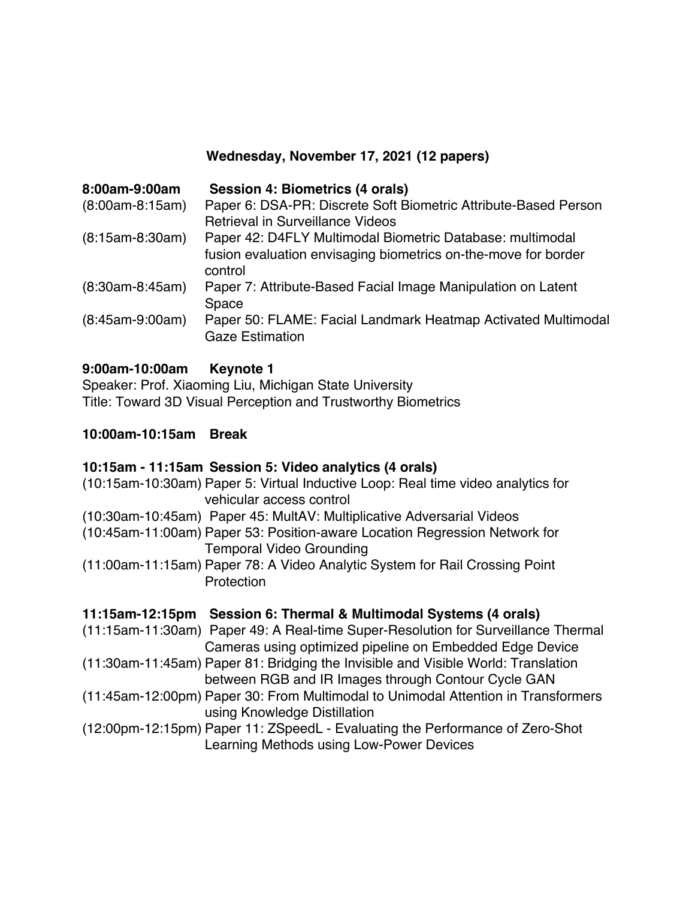# **Wednesday, November 17, 2021 (12 papers)**

| 8:00am-9:00am     | <b>Session 4: Biometrics (4 orals)</b>                                                  |
|-------------------|-----------------------------------------------------------------------------------------|
| $(8:00am-8:15am)$ | Paper 6: DSA-PR: Discrete Soft Biometric Attribute-Based Person                         |
|                   | <b>Retrieval in Surveillance Videos</b>                                                 |
| $(8:15am-8:30am)$ | Paper 42: D4FLY Multimodal Biometric Database: multimodal                               |
|                   | fusion evaluation envisaging biometrics on-the-move for border                          |
|                   | control                                                                                 |
| $(8:30am-8:45am)$ | Paper 7: Attribute-Based Facial Image Manipulation on Latent                            |
|                   | Space                                                                                   |
| $(8:45am-9:00am)$ | Paper 50: FLAME: Facial Landmark Heatmap Activated Multimodal<br><b>Gaze Estimation</b> |

### **9:00am-10:00am Keynote 1**

Speaker: Prof. Xiaoming Liu, Michigan State University Title: Toward 3D Visual Perception and Trustworthy Biometrics

#### **10:00am-10:15am Break**

#### **10:15am - 11:15am Session 5: Video analytics (4 orals)**

| (10:15am-10:30am) Paper 5: Virtual Inductive Loop: Real time video analytics for<br>vehicular access control                                  |
|-----------------------------------------------------------------------------------------------------------------------------------------------|
| (10:30am-10:45am) Paper 45: MultAV: Multiplicative Adversarial Videos                                                                         |
| (10:45am-11:00am) Paper 53: Position-aware Location Regression Network for<br><b>Temporal Video Grounding</b>                                 |
| (11:00am-11:15am) Paper 78: A Video Analytic System for Rail Crossing Point<br>Protection                                                     |
| 11:15am-12:15pm Session 6: Thermal & Multimodal Systems (4 orals)                                                                             |
| (11:15am-11:30am) Paper 49: A Real-time Super-Resolution for Surveillance Thermal<br>Cameras using optimized pipeline on Embedded Edge Device |
| (11:30am-11:45am) Paper 81: Bridging the Invisible and Visible World: Translation<br>between RGB and IR Images through Contour Cycle GAN      |
| (11:45am-12:00pm) Paper 30: From Multimodal to Unimodal Attention in Transformers<br>using Knowledge Distillation                             |
| (12:00pm-12:15pm) Paper 11: ZSpeedL - Evaluating the Performance of Zero-Shot<br>Learning Methods using Low-Power Devices                     |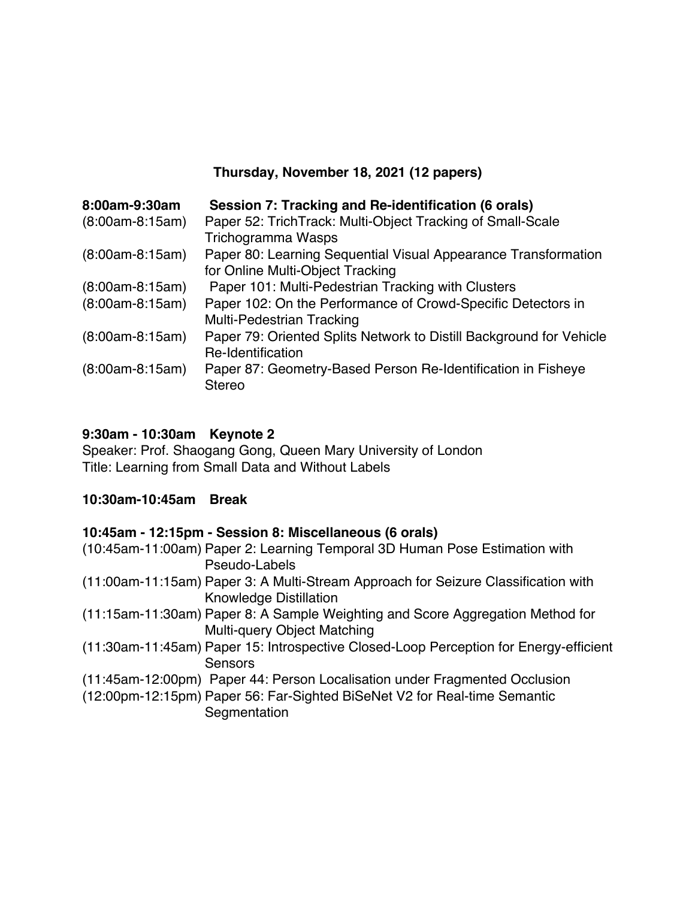## **Thursday, November 18, 2021 (12 papers)**

| 8:00am-9:30am     | Session 7: Tracking and Re-identification (6 orals)                 |
|-------------------|---------------------------------------------------------------------|
| $(8:00am-8:15am)$ | Paper 52: TrichTrack: Multi-Object Tracking of Small-Scale          |
|                   | Trichogramma Wasps                                                  |
| $(8:00am-8:15am)$ | Paper 80: Learning Sequential Visual Appearance Transformation      |
|                   | for Online Multi-Object Tracking                                    |
| $(8:00am-8:15am)$ | Paper 101: Multi-Pedestrian Tracking with Clusters                  |
| $(8:00am-8:15am)$ | Paper 102: On the Performance of Crowd-Specific Detectors in        |
|                   | <b>Multi-Pedestrian Tracking</b>                                    |
| $(8:00am-8:15am)$ | Paper 79: Oriented Splits Network to Distill Background for Vehicle |
|                   | Re-Identification                                                   |
| $(8:00am-8:15am)$ | Paper 87: Geometry-Based Person Re-Identification in Fisheye        |
|                   | <b>Stereo</b>                                                       |

## **9:30am - 10:30am Keynote 2**

Speaker: Prof. Shaogang Gong, Queen Mary University of London Title: Learning from Small Data and Without Labels

### **10:30am-10:45am Break**

### **10:45am - 12:15pm - Session 8: Miscellaneous (6 orals)**

| (10:45am-11:00am) Paper 2: Learning Temporal 3D Human Pose Estimation with                                          |
|---------------------------------------------------------------------------------------------------------------------|
| Pseudo-Labels                                                                                                       |
| (11:00am-11:15am) Paper 3: A Multi-Stream Approach for Seizure Classification with<br><b>Knowledge Distillation</b> |
| (11:15am-11:30am) Paper 8: A Sample Weighting and Score Aggregation Method for<br>Multi-query Object Matching       |
| (11:30am-11:45am) Paper 15: Introspective Closed-Loop Perception for Energy-efficient<br>Sensors                    |
| (11:45am-12:00pm) Paper 44: Person Localisation under Fragmented Occlusion                                          |
| (12:00pm-12:15pm) Paper 56: Far-Sighted BiSeNet V2 for Real-time Semantic<br>Segmentation                           |